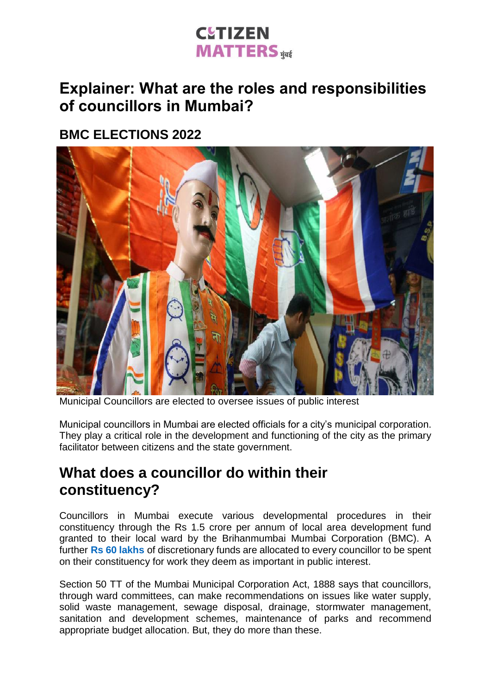## **CUTIZEN MATTERS** HEE

### **Explainer: What are the roles and responsibilities of councillors in Mumbai?**

#### **BMC ELECTIONS 2022**



Municipal Councillors are elected to oversee issues of public interest

Municipal councillors in Mumbai are elected officials for a city's municipal corporation. They play a critical role in the development and functioning of the city as the primary facilitator between citizens and the state government.

#### **What does a councillor do within their constituency?**

Councillors in Mumbai execute various developmental procedures in their constituency through the Rs 1.5 crore per annum of local area development fund granted to their local ward by the Brihanmumbai Mumbai Corporation (BMC). A further **Rs 60 [lakhs](https://www.freepressjournal.in/mumbai/issue-ordinance-permitting-use-of-rs-25-lakh-from-councillors-funds-for-pandemic-bmc-councillor)** of discretionary funds are allocated to every councillor to be spent on their constituency for work they deem as important in public interest.

Section 50 TT of the Mumbai Municipal Corporation Act, 1888 says that councillors, through ward committees, can make recommendations on issues like water supply, solid waste management, sewage disposal, drainage, stormwater management, sanitation and development schemes, maintenance of parks and recommend appropriate budget allocation. But, they do more than these.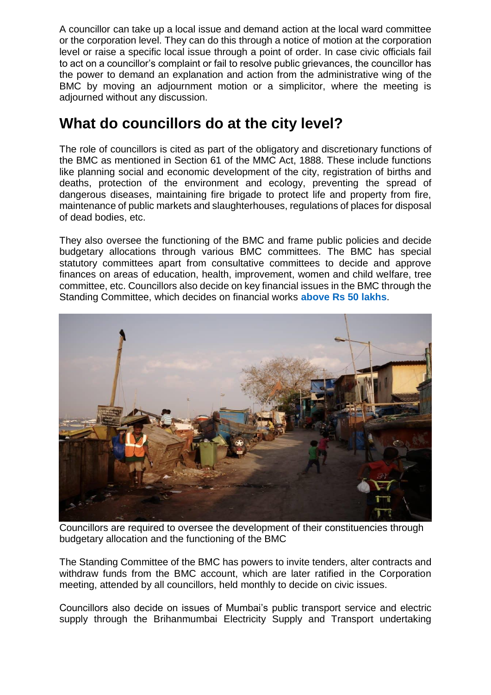A councillor can take up a local issue and demand action at the local ward committee or the corporation level. They can do this through a notice of motion at the corporation level or raise a specific local issue through a point of order. In case civic officials fail to act on a councillor's complaint or fail to resolve public grievances, the councillor has the power to demand an explanation and action from the administrative wing of the BMC by moving an adjournment motion or a simplicitor, where the meeting is adjourned without any discussion.

#### **What do councillors do at the city level?**

The role of councillors is cited as part of the obligatory and discretionary functions of the BMC as mentioned in Section 61 of the MMC Act, 1888. These include functions like planning social and economic development of the city, registration of births and deaths, protection of the environment and ecology, preventing the spread of dangerous diseases, maintaining fire brigade to protect life and property from fire, maintenance of public markets and slaughterhouses, regulations of places for disposal of dead bodies, etc.

They also oversee the functioning of the BMC and frame public policies and decide budgetary allocations through various BMC committees. The BMC has special statutory committees apart from consultative committees to decide and approve finances on areas of education, health, improvement, women and child welfare, tree committee, etc. Councillors also decide on key financial issues in the BMC through the Standing Committee, which decides on financial works **[above](https://timesofindia.indiatimes.com/city/mumbai/babus-netas-cross-swords-in-bmc-development-works-may-be-hit/articleshow/65727651.cms) Rs 50 lakhs**.



Councillors are required to oversee the development of their constituencies through budgetary allocation and the functioning of the BMC

The Standing Committee of the BMC has powers to invite tenders, alter contracts and withdraw funds from the BMC account, which are later ratified in the Corporation meeting, attended by all councillors, held monthly to decide on civic issues.

Councillors also decide on issues of Mumbai's public transport service and electric supply through the Brihanmumbai Electricity Supply and Transport undertaking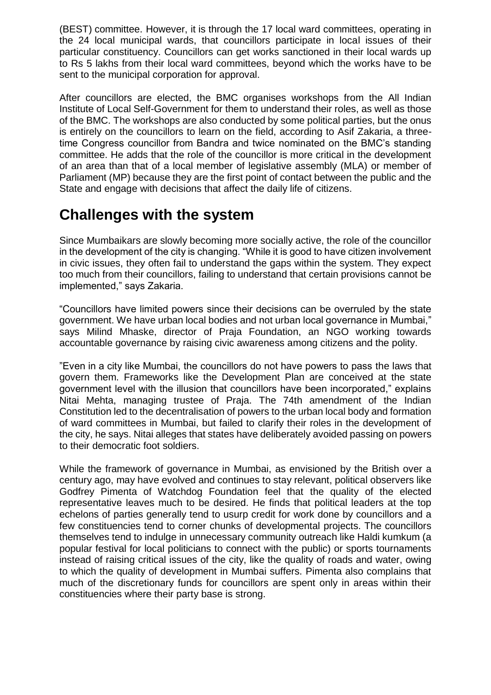(BEST) committee. However, it is through the 17 local ward committees, operating in the 24 local municipal wards, that councillors participate in local issues of their particular constituency. Councillors can get works sanctioned in their local wards up to Rs 5 lakhs from their local ward committees, beyond which the works have to be sent to the municipal corporation for approval.

After councillors are elected, the BMC organises workshops from the All Indian Institute of Local Self-Government for them to understand their roles, as well as those of the BMC. The workshops are also conducted by some political parties, but the onus is entirely on the councillors to learn on the field, according to Asif Zakaria, a threetime Congress councillor from Bandra and twice nominated on the BMC's standing committee. He adds that the role of the councillor is more critical in the development of an area than that of a local member of legislative assembly (MLA) or member of Parliament (MP) because they are the first point of contact between the public and the State and engage with decisions that affect the daily life of citizens.

#### **Challenges with the system**

Since Mumbaikars are slowly becoming more socially active, the role of the councillor in the development of the city is changing. "While it is good to have citizen involvement in civic issues, they often fail to understand the gaps within the system. They expect too much from their councillors, failing to understand that certain provisions cannot be implemented," says Zakaria.

"Councillors have limited powers since their decisions can be overruled by the state government. We have urban local bodies and not urban local governance in Mumbai," says Milind Mhaske, director of Praja Foundation, an NGO working towards accountable governance by raising civic awareness among citizens and the polity.

"Even in a city like Mumbai, the councillors do not have powers to pass the laws that govern them. Frameworks like the Development Plan are conceived at the state government level with the illusion that councillors have been incorporated," explains Nitai Mehta, managing trustee of Praja. The 74th amendment of the Indian Constitution led to the decentralisation of powers to the urban local body and formation of ward committees in Mumbai, but failed to clarify their roles in the development of the city, he says. Nitai alleges that states have deliberately avoided passing on powers to their democratic foot soldiers.

While the framework of governance in Mumbai, as envisioned by the British over a century ago, may have evolved and continues to stay relevant, political observers like Godfrey Pimenta of Watchdog Foundation feel that the quality of the elected representative leaves much to be desired. He finds that political leaders at the top echelons of parties generally tend to usurp credit for work done by councillors and a few constituencies tend to corner chunks of developmental projects. The councillors themselves tend to indulge in unnecessary community outreach like Haldi kumkum (a popular festival for local politicians to connect with the public) or sports tournaments instead of raising critical issues of the city, like the quality of roads and water, owing to which the quality of development in Mumbai suffers. Pimenta also complains that much of the discretionary funds for councillors are spent only in areas within their constituencies where their party base is strong.